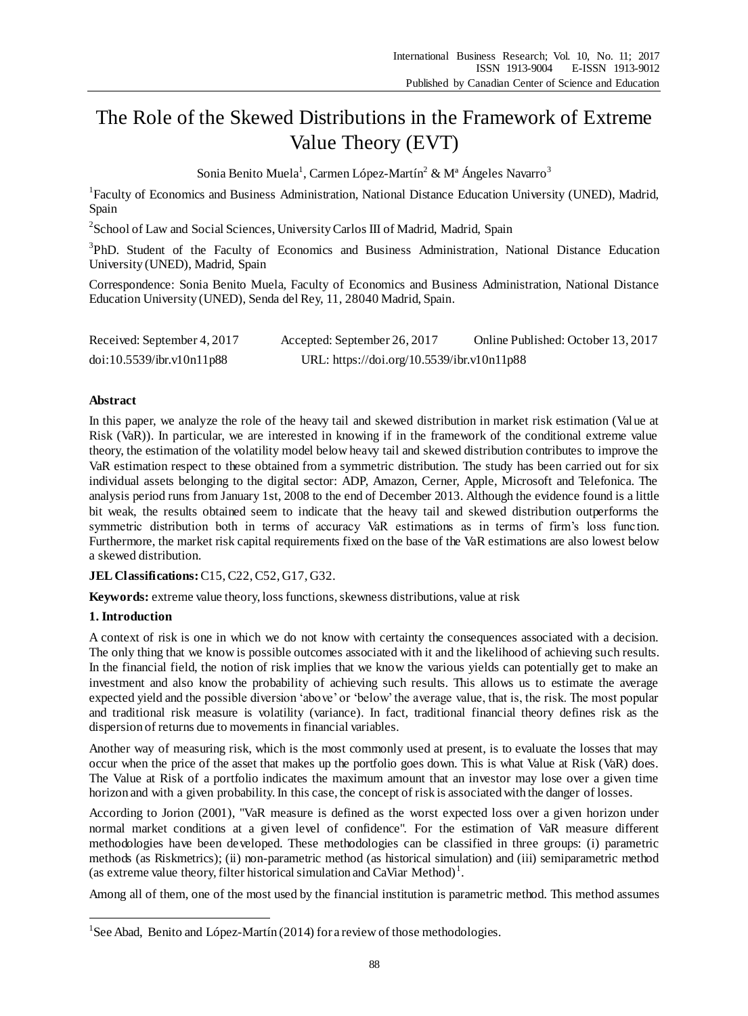# The Role of the Skewed Distributions in the Framework of Extreme Value Theory (EVT)

Sonia Benito Muela<sup>1</sup>, Carmen López-Mart ín  $2 \& M$  <sup>a</sup> Ángeles Navarro<sup>3</sup>

<sup>1</sup> Faculty of Economics and Business Administration, National Distance Education University (UNED), Madrid, Spain

<sup>2</sup> School of Law and Social Sciences, University Carlos III of Madrid, Madrid, Spain

<sup>3</sup>PhD. Student of the Faculty of Economics and Business Administration, National Distance Education University (UNED), Madrid, Spain

Correspondence: Sonia Benito Muela, Faculty of Economics and Business Administration, National Distance Education University (UNED), Senda del Rey, 11, 28040 Madrid, Spain.

| Received: September 4, 2017 | Accepted: September 26, 2017               | Online Published: October 13, 2017 |
|-----------------------------|--------------------------------------------|------------------------------------|
| doi:10.5539/ibr.v10n11p88   | URL: https://doi.org/10.5539/ibr.v10n11p88 |                                    |

# **Abstract**

In this paper, we analyze the role of the heavy tail and skewed distribution in market risk estimation (Value at Risk (VaR)). In particular, we are interested in knowing if in the framework of the conditional extreme value theory, the estimation of the volatility model below heavy tail and skewed distribution contributes to improve the VaR estimation respect to these obtained from a symmetric distribution. The study has been carried out for six individual assets belonging to the digital sector: ADP, Amazon, Cerner, Apple, Microsoft and Telefonica. The analysis period runs from January 1st, 2008 to the end of December 2013. Although the evidence found is a little bit weak, the results obtained seem to indicate that the heavy tail and skewed distribution outperforms the symmetric distribution both in terms of accuracy VaR estimations as in terms of firm's loss function. Furthermore, the market risk capital requirements fixed on the base of the VaR estimations are also lowest below a skewed distribution.

# **JEL Classifications:** C15, C22, C52, G17, G32.

Keywords: extreme value theory, loss functions, skewness distributions, value at risk

# **1. Introduction**

1

A context of risk is one in which we do not know with certainty the consequences associated with a decision. The only thing that we know is possible outcomes associated with it and the likelihood of achieving such results. In the financial field, the notion of risk implies that we know the various yields can potentially get to make an investment and also know the probability of achieving such results. This allows us to estimate the average expected yield and the possible diversion 'above' or 'below' the average value, that is, the risk. The most popular and traditional risk measure is volatility (variance). In fact, traditional financial theory defines risk as the dispersion of returns due to movements in financial variables.

Another way of measuring risk, which is the most commonly used at present, is to evaluate the losses that may occur when the price of the asset that makes up the portfolio goes down. This is what Value at Risk (VaR) does. The Value at Risk of a portfolio indicates the maximum amount that an investor may lose over a given time horizon and with a given probability. In this case, the concept of risk is associated with the danger of losses.

According to Jorion (2001), "VaR measure is defined as the worst expected loss over a given horizon under normal market conditions at a given level of confidence". For the estimation of VaR measure different methodologies have been developed. These methodologies can be classified in three groups: (i) parametric methods (as Riskmetrics); (ii) non-parametric method (as historical simulation) and (iii) semiparametric method (as extreme value theory, filter historical simulation and CaViar Method)<sup>1</sup>.

Among all of them, one of the most used by the financial institution is parametric method. This method assumes

<sup>&</sup>lt;sup>1</sup>See Abad, Benito and López-Mart  $\acute{n}$  (2014) for a review of those methodologies.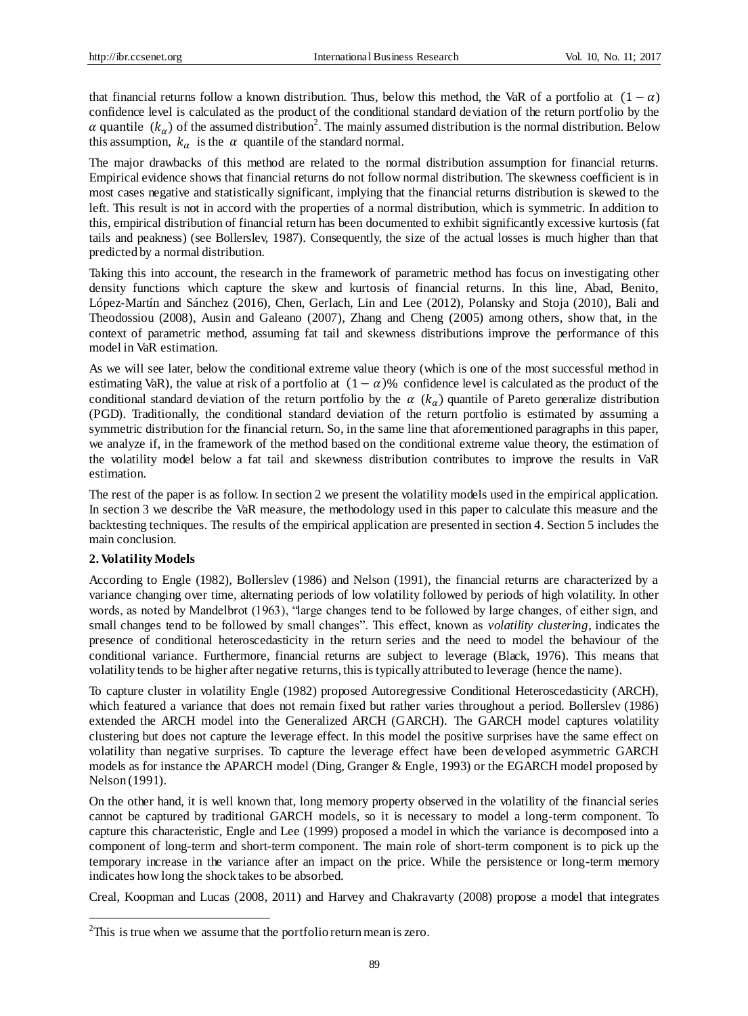that financial returns follow a known distribution. Thus, below this method, the VaR of a portfolio at  $(1 - \alpha)$ confidence level is calculated as the product of the conditional standard deviation of the return portfolio by the  $\alpha$  quantile  $(k_{\alpha})$  of the assumed distribution<sup>2</sup>. The mainly assumed distribution is the normal distribution. Below this assumption,  $k_{\alpha}$  is the  $\alpha$  quantile of the standard normal.

The major drawbacks of this method are related to the normal distribution assumption for financial returns. Empirical evidence shows that financial returns do not follow normal distribution. The skewness coefficient is in most cases negative and statistically significant, implying that the financial returns distribution is skewed to the left. This result is not in accord with the properties of a normal distribution, which is symmetric. In addition to this, empirical distribution of financial return has been documented to exhibit significantly excessive kurtosis (fat tails and peakness) (see Bollerslev, 1987). Consequently, the size of the actual losses is much higher than that predicted by a normal distribution.

Taking this into account, the research in the framework of parametric method has focus on investigating other density functions which capture the skew and kurtosis of financial returns. In this line, Abad, Benito, López-Martín and Sánchez (2016), Chen, Gerlach, Lin and Lee (2012), Polansky and Stoja (2010), Bali and Theodossiou (2008), Ausin and Galeano (2007), Zhang and Cheng (2005) among others, show that, in the context of parametric method, assuming fat tail and skewness distributions improve the performance of this model in VaR estimation.

As we will see later, below the conditional extreme value theory (which is one of the most successful method in estimating VaR), the value at risk of a portfolio at  $(1 - \alpha)$ % confidence level is calculated as the product of the conditional standard deviation of the return portfolio by the  $\alpha$  ( $k_{\alpha}$ ) quantile of Pareto generalize distribution (PGD). Traditionally, the conditional standard deviation of the return portfolio is estimated by assuming a symmetric distribution for the financial return. So, in the same line that aforementioned paragraphs in this paper, we analyze if, in the framework of the method based on the conditional extreme value theory, the estimation of the volatility model below a fat tail and skewness distribution contributes to improve the results in VaR estimation.

The rest of the paper is as follow. In section 2 we present the volatility models used in the empirical application. In section 3 we describe the VaR measure, the methodology used in this paper to calculate this measure and the backtesting techniques. The results of the empirical application are presented in section 4. Section 5 includes the main conclusion.

### **2. Volatility Models**

1

According to Engle (1982), Bollerslev (1986) and Nelson (1991), the financial returns are characterized by a variance changing over time, alternating periods of low volatility followed by periods of high volatility. In other words, as noted by Mandelbrot (1963), "large changes tend to be followed by large changes, of either sign, and small changes tend to be followed by small changes". This effect, known as *volatility clustering*, indicates the presence of conditional heteroscedasticity in the return series and the need to model the behaviour of the conditional variance. Furthermore, financial returns are subject to leverage (Black, 1976). This means that volatility tends to be higher after negative returns, this is typically attributed to leverage (hence the name).

To capture cluster in volatility Engle (1982) proposed Autoregressive Conditional Heteroscedasticity (ARCH), which featured a variance that does not remain fixed but rather varies throughout a period. Bollerslev (1986) extended the ARCH model into the Generalized ARCH (GARCH). The GARCH model captures volatility clustering but does not capture the leverage effect. In this model the positive surprises have the same effect on volatility than negative surprises. To capture the leverage effect have been developed asymmetric GARCH models as for instance the APARCH model (Ding, Granger & Engle, 1993) or the EGARCH model proposed by Nelson (1991).

On the other hand, it is well known that, long memory property observed in the volatility of the financial series cannot be captured by traditional GARCH models, so it is necessary to model a long-term component. To capture this characteristic, Engle and Lee (1999) proposed a model in which the variance is decomposed into a component of long-term and short-term component. The main role of short-term component is to pick up the temporary increase in the variance after an impact on the price. While the persistence or long-term memory indicates how long the shock takes to be absorbed.

Creal, Koopman and Lucas (2008, 2011) and Harvey and Chakravarty (2008) propose a model that integrates

 $2$ This is true when we assume that the portfolio return mean is zero.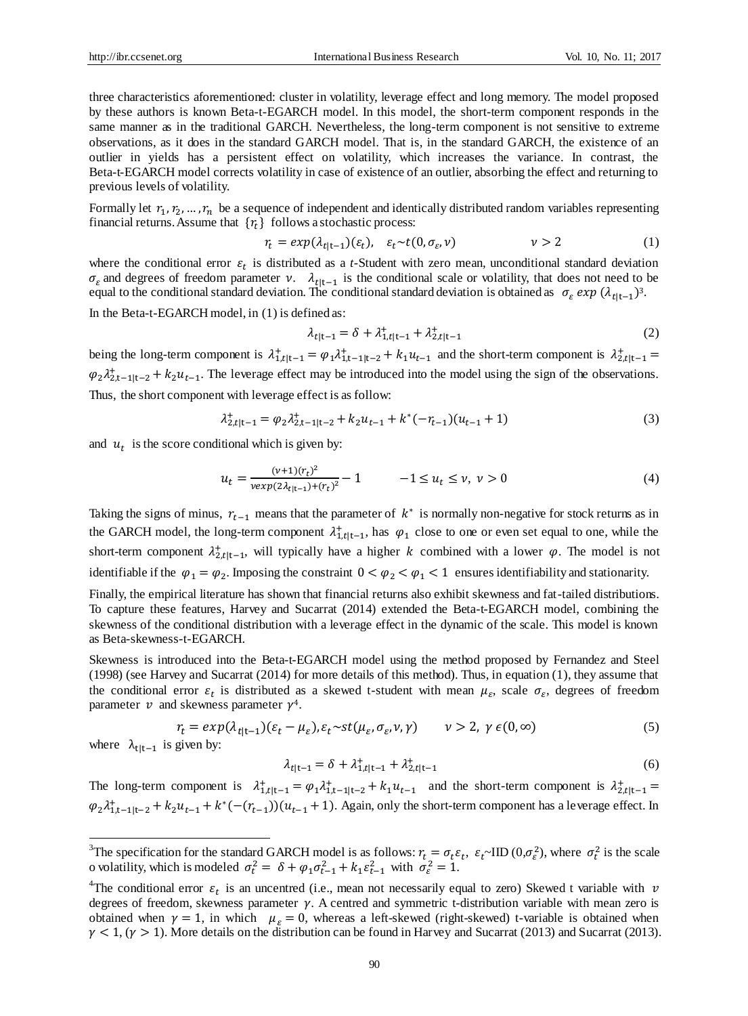three characteristics aforementioned: cluster in volatility, leverage effect and long memory. The model proposed by these authors is known Beta-t-EGARCH model. In this model, the short-term component responds in the same manner as in the traditional GARCH. Nevertheless, the long-term component is not sensitive to extreme observations, as it does in the standard GARCH model. That is, in the standard GARCH, the existence of an outlier in yields has a persistent effect on volatility, which increases the variance. In contrast, the Beta-t-EGARCH model corrects volatility in case of existence of an outlier, absorbing the effect and returning to previous levels of volatility.

Formally let  $r_1, r_2, ..., r_n$  be a sequence of independent and identically distributed random variables representing financial returns. Assume that  $\{r_t\}$  follows a stochastic process:

$$
r_t = \exp(\lambda_{t|t-1})(\varepsilon_t), \quad \varepsilon_t \sim t(0, \sigma_{\varepsilon}, \nu) \qquad \qquad \nu > 2 \tag{1}
$$

where the conditional error  $\varepsilon_t$  is distributed as a *t*-Student with zero mean, unconditional standard deviation  $\sigma_{\varepsilon}$  and degrees of freedom parameter  $v$ .  $\lambda_{t|t-1}$  is the conditional scale or volatility, that does not need to be equal to the conditional standard deviation. The conditional standard deviation is obtained as  $\sigma_{\varepsilon} exp(\lambda_{t|t-1})^3$ .

In the Beta-t-EGARCH model, in (1) is defined as:

$$
\lambda_{t|t-1} = \delta + \lambda_{1,t|t-1}^+ + \lambda_{2,t|t-1}^+ \tag{2}
$$

being the long-term component is  $\lambda^+_{1,t|t-1} = \varphi_1 \lambda^+_{1,t-1|t-2} + k_1 u_{t-1}$  and the short-term component is  $\lambda^+_{2,t|t-1} =$  $\varphi_2 \lambda_{2,t-1|t-2}^+ + k_2 u_{t-1}$ . The leverage effect may be introduced into the model using the sign of the observations. Thus, the short component with leverage effect is as follow:

$$
\lambda_{2,t|t-1}^+ = \varphi_2 \lambda_{2,t-1|t-2}^+ + k_2 u_{t-1} + k^* (-r_{t-1}) (u_{t-1} + 1) \tag{3}
$$

and  $u_t$  is the score conditional which is given by:

$$
u_t = \frac{(v+1)(r_t)^2}{v \exp(2\lambda_{t|t-1}) + (r_t)^2} - 1 \qquad -1 \le u_t \le v, \ v > 0 \tag{4}
$$

Taking the signs of minus,  $r_{t-1}$  means that the parameter of  $k^*$  is normally non-negative for stock returns as in the GARCH model, the long-term component  $\lambda^+_{1,t|t-1}$ , has  $\varphi_1$  close to one or even set equal to one, while the short-term component  $\lambda_{2,t|t-1}^+$ , will typically have a higher k combined with a lower  $\varphi$ . The model is not identifiable if the  $\varphi_1 = \varphi_2$ . Imposing the constraint  $0 < \varphi_2 < \varphi_1 < 1$  ensures identifiability and stationarity.

Finally, the empirical literature has shown that financial returns also exhibit skewness and fat-tailed distributions. To capture these features, Harvey and Sucarrat (2014) extended the Beta-t-EGARCH model, combining the skewness of the conditional distribution with a leverage effect in the dynamic of the scale. This model is known as Beta-skewness-t-EGARCH.

Skewness is introduced into the Beta-t-EGARCH model using the method proposed by Fernandez and Steel (1998) (see Harvey and Sucarrat (2014) for more details of this method). Thus, in equation (1), they assume that the conditional error  $\varepsilon_t$  is distributed as a skewed t-student with mean  $\mu_{\varepsilon}$ , scale  $\sigma_{\varepsilon}$ , degrees of freedom parameter  $\nu$  and skewness parameter  $\gamma^4$ .

$$
r_t = exp(\lambda_{t|t-1})(\varepsilon_t - \mu_{\varepsilon}), \varepsilon_t \sim st(\mu_{\varepsilon}, \sigma_{\varepsilon}, \nu, \gamma) \qquad \nu > 2, \ \gamma \in (0, \infty)
$$
 (5)

where  $\lambda_{t|t-1}$  is given by:

1

$$
\lambda_{t|t-1} = \delta + \lambda_{1,t|t-1}^{+} + \lambda_{2,t|t-1}^{+}
$$
\n(6)

The long-term component is  $\lambda^+_{1,t|t-1} = \varphi_1 \lambda^+_{1,t-1|t-2} + k_1 u_{t-1}$  and the short-term component is  $\lambda^+_{2,t|t-1} =$  $\varphi_2 \lambda_{1,t-1|t-2}^+ + k_2 u_{t-1} + k^*(-(r_{t-1}))(u_{t-1}+1)$ . Again, only the short-term component has a leverage effect. In

<sup>&</sup>lt;sup>3</sup>The specification for the standard GARCH model is as follows:  $r_t = \sigma_t \varepsilon_t$ ,  $\varepsilon_t \sim \text{IID}(0, \sigma_{\varepsilon}^2)$ , where  $\sigma_t^2$  is the scale o volatility, which is modeled  $\sigma_t^2 = \delta + \varphi_1 \sigma_{t-1}^2 + k_1 \varepsilon_{t-1}^2$  with  $\sigma_{\varepsilon}^2 = 1$ .

<sup>&</sup>lt;sup>4</sup>The conditional error  $\varepsilon_t$  is an uncentred (i.e., mean not necessarily equal to zero) Skewed t variable with v degrees of freedom, skewness parameter  $\gamma$ . A centred and symmetric t-distribution variable with mean zero is obtained when  $\gamma = 1$ , in which  $\mu_{\varepsilon} = 0$ , whereas a left-skewed (right-skewed) t-variable is obtained when  $\gamma$  < 1, ( $\gamma$  > 1). More details on the distribution can be found in Harvey and Sucarrat (2013) and Sucarrat (2013).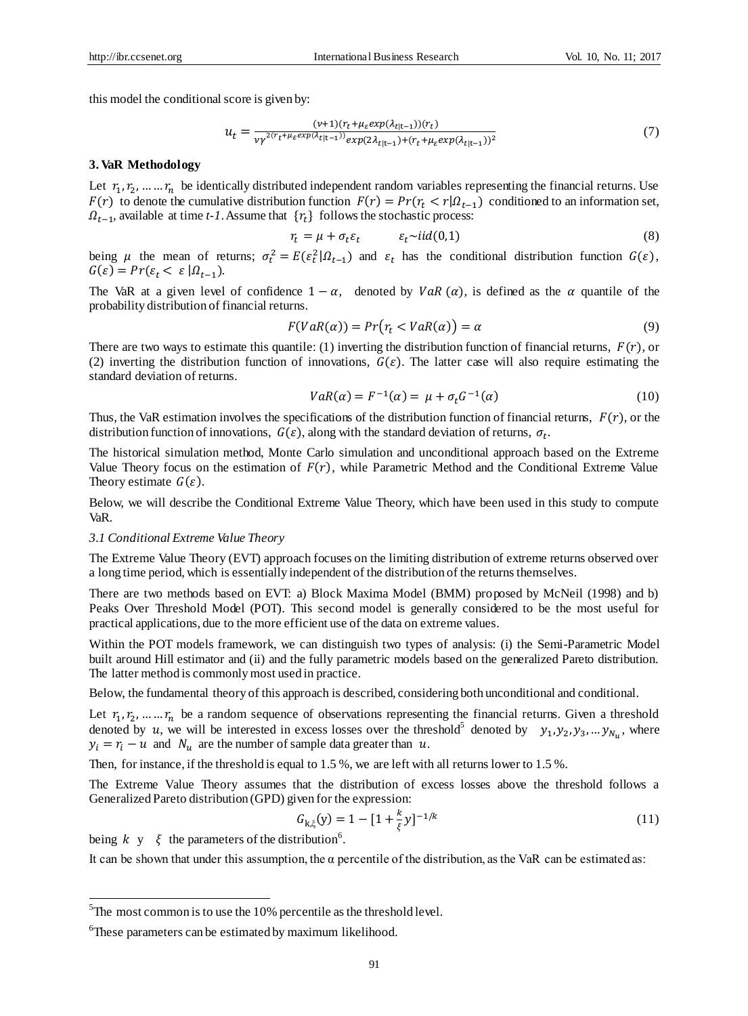this model the conditional score is given by:

$$
u_t = \frac{(v+1)(r_t + \mu_{\varepsilon} exp(\lambda_{t|t-1}))(r_t)}{v\gamma^{2(r_t + \mu_{\varepsilon} exp(\lambda_{t|t-1}))} exp(2\lambda_{t|t-1}) + (r_t + \mu_{\varepsilon} exp(\lambda_{t|t-1}))^2}
$$
(7)

### **3. VaR Methodology**

Let  $r_1, r_2, \dots, r_n$  be identically distributed independent random variables representing the financial returns. Use  $F(r)$  to denote the cumulative distribution function  $F(r) = Pr(r_t < r | \Omega_{t-1})$  conditioned to an information set,  $\Omega_{t-1}$ , available at time *t-1*. Assume that  $\{r_t\}$  follows the stochastic process:

$$
r_t = \mu + \sigma_t \varepsilon_t \qquad \varepsilon_t \sim \text{iid}(0,1) \tag{8}
$$

being  $\mu$  the mean of returns;  $\sigma_t^2 = E(\varepsilon_t^2 | \Omega_{t-1})$  and  $\varepsilon_t$  has the conditional distribution function  $G(\varepsilon)$ ,  $G(\varepsilon) = Pr(\varepsilon_t < \varepsilon \, | \Omega_{t-1}).$ 

The VaR at a given level of confidence  $1 - \alpha$ , denoted by  $VaR(\alpha)$ , is defined as the  $\alpha$  quantile of the probability distribution of financial returns.

$$
F(VaR(\alpha)) = Pr(r_t < VaR(\alpha)) = \alpha \tag{9}
$$

There are two ways to estimate this quantile: (1) inverting the distribution function of financial returns,  $F(r)$ , or (2) inverting the distribution function of innovations,  $G(\varepsilon)$ . The latter case will also require estimating the standard deviation of returns.

$$
VaR(\alpha) = F^{-1}(\alpha) = \mu + \sigma_t G^{-1}(\alpha)
$$
\n(10)

Thus, the VaR estimation involves the specifications of the distribution function of financial returns,  $F(r)$ , or the distribution function of innovations,  $G(\varepsilon)$ , along with the standard deviation of returns,  $\sigma_t$ .

The historical simulation method, Monte Carlo simulation and unconditional approach based on the Extreme Value Theory focus on the estimation of  $F(r)$ , while Parametric Method and the Conditional Extreme Value Theory estimate  $G(\varepsilon)$ .

Below, we will describe the Conditional Extreme Value Theory, which have been used in this study to compute VaR.

### *3.1 Conditional Extreme Value Theory*

The Extreme Value Theory (EVT) approach focuses on the limiting distribution of extreme returns observed over a long time period, which is essentially independent of the distribution of the returns themselves.

There are two methods based on EVT: a) Block Maxima Model (BMM) proposed by McNeil (1998) and b) Peaks Over Threshold Model (POT). This second model is generally considered to be the most useful for practical applications, due to the more efficient use of the data on extreme values.

Within the POT models framework, we can distinguish two types of analysis: (i) the Semi-Parametric Model built around Hill estimator and (ii) and the fully parametric models based on the generalized Pareto distribution. The latter method is commonly most used in practice.

Below, the fundamental theory of this approach is described, considering both unconditional and conditional.

Let  $r_1, r_2, \dots, r_n$  be a random sequence of observations representing the financial returns. Given a threshold denoted by u, we will be interested in excess losses over the threshold<sup>5</sup> denoted by  $y_1, y_2, y_3, \ldots, y_{N_u}$ , where  $y_i = r_i - u$  and  $N_u$  are the number of sample data greater than u.

Then, for instance, if the threshold is equal to 1.5 %, we are left with all returns lower to 1.5 %.

The Extreme Value Theory assumes that the distribution of excess losses above the threshold follows a Generalized Pareto distribution (GPD) given for the expression:

$$
G_{k,\xi}(y) = 1 - [1 + \frac{k}{\xi}y]^{-1/k}
$$
 (11)

being  $k \, y \, \xi$  the parameters of the distribution<sup>6</sup>.

It can be shown that under this assumption, the  $\alpha$  percentile of the distribution, as the VaR can be estimated as:

 $\frac{5}{10}$ The most common is to use the 10% percentile as the threshold level.

<sup>&</sup>lt;sup>6</sup>These parameters can be estimated by maximum likelihood.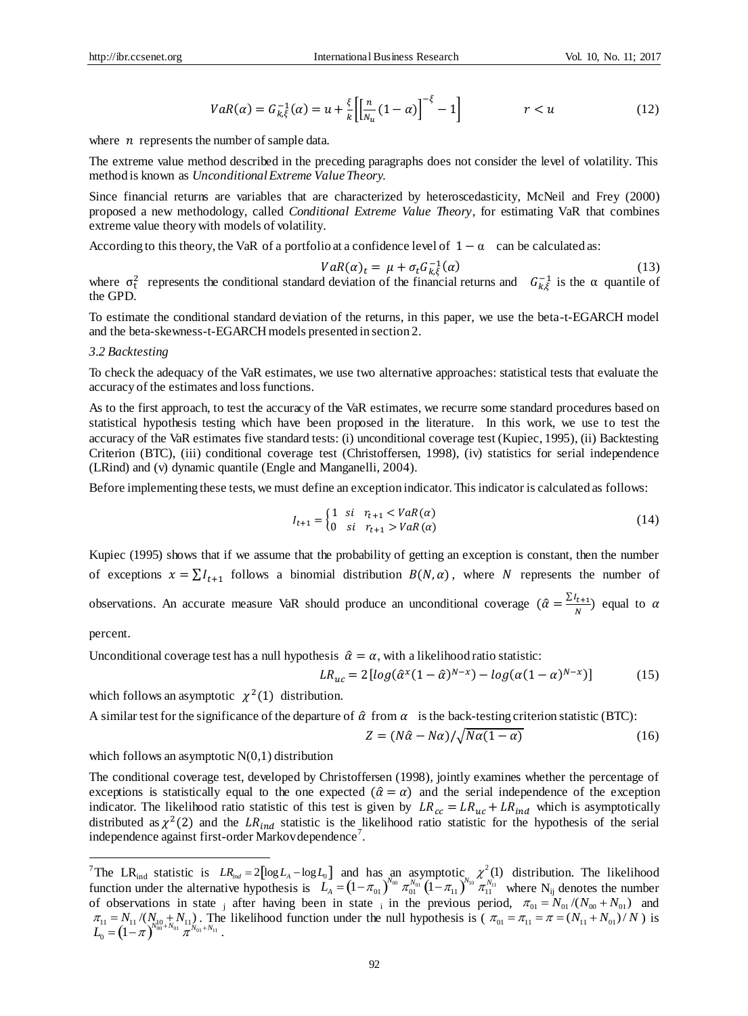$$
VaR(\alpha) = G_{k,\xi}^{-1}(\alpha) = u + \frac{\xi}{k} \left[ \left[ \frac{n}{N_u} (1 - \alpha) \right]^{-\xi} - 1 \right] \qquad \qquad r < u \tag{12}
$$

where  $n$  represents the number of sample data.

The extreme value method described in the preceding paragraphs does not consider the level of volatility. This method is known as *Unconditional Extreme Value Theory.*

Since financial returns are variables that are characterized by heteroscedasticity, McNeil and Frey (2000) proposed a new methodology, called *Conditional Extreme Value Theory*, for estimating VaR that combines extreme value theory with models of volatility.

According to this theory, the VaR of a portfolio at a confidence level of  $1 - \alpha$  can be calculated as:

$$
VaR(\alpha)_t = \mu + \sigma_t G_{k,\xi}^{-1}(\alpha) \tag{13}
$$

where  $\sigma_t^2$  represents the conditional standard deviation of the financial returns and  $G_{k,\xi}^{-1}$  is the  $\alpha$  quantile of the GPD.

To estimate the conditional standard deviation of the returns, in this paper, we use the beta-t-EGARCH model and the beta-skewness-t-EGARCH models presented in section 2.

#### *3.2 Backtesting*

To check the adequacy of the VaR estimates, we use two alternative approaches: statistical tests that evaluate the accuracy of the estimates and loss functions.

As to the first approach, to test the accuracy of the VaR estimates, we recurre some standard procedures based on statistical hypothesis testing which have been proposed in the literature. In this work, we use to test the accuracy of the VaR estimates five standard tests: (i) unconditional coverage test (Kupiec, 1995), (ii) Backtesting Criterion (BTC), (iii) conditional coverage test (Christoffersen, 1998), (iv) statistics for serial independence (LRind) and (v) dynamic quantile (Engle and Manganelli, 2004).

Before implementing these tests, we must define an exception indicator. This indicator is calculated as follows:

$$
I_{t+1} = \begin{cases} 1 & \text{si} & r_{t+1} < VaR(\alpha) \\ 0 & \text{si} & r_{t+1} > VaR(\alpha) \end{cases} \tag{14}
$$

Kupiec (1995) shows that if we assume that the probability of getting an exception is constant, then the number of exceptions  $x = \sum I_{t+1}$  follows a binomial distribution  $B(N, \alpha)$ , where N represents the number of observations. An accurate measure VaR should produce an unconditional coverage  $(\hat{\alpha} = \frac{\sum t_{t+1}}{N})$  $\frac{n+1}{N}$  equal to  $\alpha$ 

percent.

<u>.</u>

Unconditional coverage test has a null hypothesis  $\hat{\alpha} = \alpha$ , with a likelihood ratio statistic:

$$
LR_{uc} = 2\left[log(\hat{\alpha}^x(1-\hat{\alpha})^{N-x}) - log(\alpha(1-\alpha)^{N-x})\right]
$$
 (15)

which follows an asymptotic  $\chi^2(1)$  distribution.

A similar test for the significance of the departure of  $\hat{\alpha}$  from  $\alpha$  is the back-testing criterion statistic (BTC):

$$
Z = (N\hat{\alpha} - N\alpha) / \sqrt{N\alpha(1 - \alpha)}
$$
\n(16)

# which follows an asymptotic  $N(0,1)$  distribution

The conditional coverage test, developed by Christoffersen (1998), jointly examines whether the percentage of exceptions is statistically equal to the one expected  $(\hat{a} = \alpha)$  and the serial independence of the exception indicator. The likelihood ratio statistic of this test is given by  $LR_{cc} = LR_{uc} + LR_{ind}$  which is asymptotically distributed as  $\chi^2(2)$  and the LR<sub>ind</sub> statistic is the likelihood ratio statistic for the hypothesis of the serial independence against first-order Markov dependence<sup>7</sup>.

<sup>&</sup>lt;sup>7</sup>The LR<sub>ind</sub> statistic is  $LR_{ind} = 2[\log L_A - \log L_0]$  and has an asymptotic,  $\chi^2(1)$  distribution. The likelihood function under the alternative hypothesis is  $L_A = (1 - \pi_{01})^{\log} \pi_{01}^{\log} (1 - \pi_{11})^{\log} \pi_{11}^{\log}$  where N<sub>ij</sub> denotes the number of observations in state  $\frac{1}{1}$  after having been in state  $\frac{1}{1}$  in the previous period,  $\pi_{01} = N_{01}/(N_{00} + N_{01})$  and . The likelihood function under the null hypothesis is ( $\pi_{01} = \pi_{11} = \pi = (N_{11} + N_{01})/N$ ) is .  $LR_{ind} = 2[\log L_A - \log L_0]$  and has an asymptotic,  $\chi^2(1)$  $L_{A} = (1 - \pi_{01})^{N_{00}} \pi_{01}^{N_{01}} (1 - \pi_{11})^{N_{10}} \pi_{11}^{N_{11}}$  $\pi_{11} = N_{11}/(N_{10} + N_{11})$ . The likelihood function under the null hypothesis is  $(\pi_{01} = \pi_{11} = \pi = (N_{11} + N_{01})/N_{11}$  $L_0^{11} = \left(1 - \pi\right)^{N_{00}^{10} + N_{01}} \pi^{N_{01} + N_{11}}$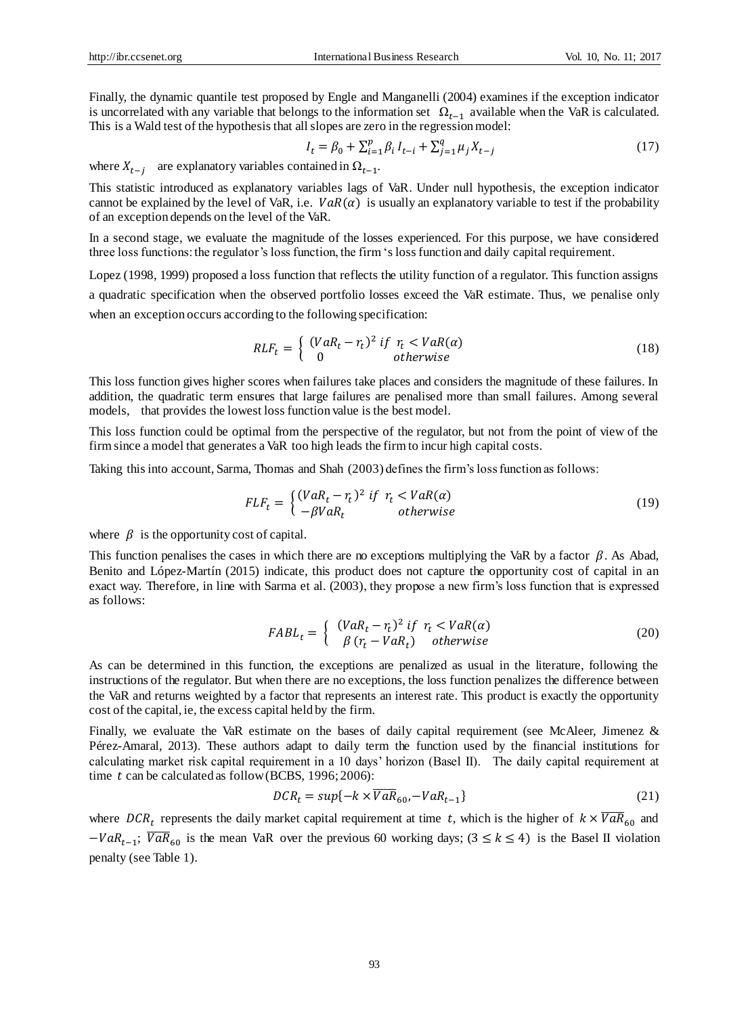Finally, the dynamic quantile test proposed by Engle and Manganelli (2004) examines if the exception indicator is uncorrelated with any variable that belongs to the information set  $\Omega_{t-1}$  available when the VaR is calculated. This is a Wald test of the hypothesis that all slopes are zero in the regression model:

$$
I_t = \beta_0 + \sum_{i=1}^p \beta_i I_{t-i} + \sum_{j=1}^q \mu_j X_{t-j}
$$
\n(17)

where  $X_{t-j}$  are explanatory variables contained in  $\Omega_{t-1}$ .

This statistic introduced as explanatory variables lags of VaR. Under null hypothesis, the exception indicator cannot be explained by the level of VaR, i.e.  $VaR(\alpha)$  is usually an explanatory variable to test if the probability of an exception depends on the level of the VaR.

In a second stage, we evaluate the magnitude of the losses experienced. For this purpose, we have considered three loss functions: the regulator's loss function, the firm 's loss function and daily capital requirement.

Lopez (1998, 1999) proposed a loss function that reflects the utility function of a regulator. This function assigns a quadratic specification when the observed portfolio losses exceed the VaR estimate. Thus, we penalise only when an exception occurs according to the following specification:

$$
RLF_t = \begin{cases} (VaR_t - r_t)^2 & \text{if } r_t < VaR(\alpha) \\ 0 & \text{otherwise} \end{cases} \tag{18}
$$

This loss function gives higher scores when failures take places and considers the magnitude of these failures. In addition, the quadratic term ensures that large failures are penalised more than small failures. Among several models, that provides the lowest loss function value is the best model.

This loss function could be optimal from the perspective of the regulator, but not from the point of view of the firm since a model that generates a VaR too high leads the firm to incur high capital costs.

Taking this into account, Sarma, Thomas and Shah (2003) defines the firm's loss function as follows:

$$
FLF_t = \begin{cases} (VaR_t - r_t)^2 & \text{if } r_t < VaR(\alpha) \\ -\beta VaR_t & \text{otherwise} \end{cases} \tag{19}
$$

where  $\beta$  is the opportunity cost of capital.

This function penalises the cases in which there are no exceptions multiplying the VaR by a factor  $\beta$ . As Abad, Benito and López-Mart *n* (2015) indicate, this product does not capture the opportunity cost of capital in an exact way. Therefore, in line with Sarma et al. (2003), they propose a new firm's loss function that is expressed as follows:

$$
FABL_t = \begin{cases} (VaR_t - r_t)^2 & \text{if } r_t < VaR(\alpha) \\ \beta & (r_t - VaR_t) & \text{otherwise} \end{cases} \tag{20}
$$

As can be determined in this function, the exceptions are penalized as usual in the literature, following the instructions of the regulator. But when there are no exceptions, the loss function penalizes the difference between the VaR and returns weighted by a factor that represents an interest rate. This product is exactly the opportunity cost of the capital, ie, the excess capital held by the firm.

Finally, we evaluate the VaR estimate on the bases of daily capital requirement (see McAleer, Jimenez & Pérez-Amaral, 2013). These authors adapt to daily term the function used by the financial institutions for calculating market risk capital requirement in a 10 days' horizon (Basel II). The daily capital requirement at time  $t$  can be calculated as follow (BCBS, 1996; 2006):

$$
DCR_t = sup\{-k \times \overline{VaR}_{60}, -VaR_{t-1}\}
$$
\n(21)

where DCR<sub>t</sub> represents the daily market capital requirement at time t, which is the higher of  $k \times \overline{VaR}_{60}$  and  $-VaR_{t-1}$ ;  $\overline{VaR}_{60}$  is the mean VaR over the previous 60 working days; (3 ≤ k ≤ 4) is the Basel II violation penalty (see Table 1).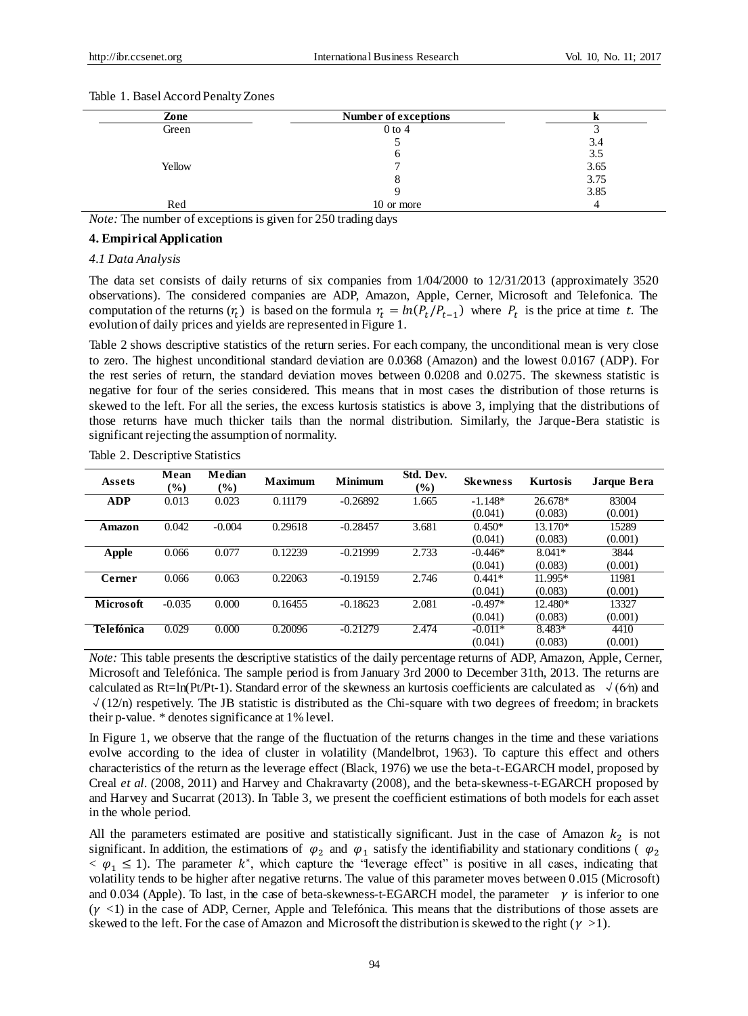| Zone   | Number of exceptions |      |
|--------|----------------------|------|
| Green  | $0$ to $4$           |      |
|        |                      | 3.4  |
|        |                      | 3.5  |
| Yellow |                      | 3.65 |
|        |                      | 3.75 |
|        |                      | 3.85 |
| Red    | 10 or more           |      |

#### Table 1. Basel Accord Penalty Zones

*Note:* The number of exceptions is given for 250 trading days

### **4. Empirical Application**

#### *4.1 Data Analysis*

The data set consists of daily returns of six companies from 1/04/2000 to 12/31/2013 (approximately 3520 observations). The considered companies are ADP, Amazon, Apple, Cerner, Microsoft and Telefonica. The computation of the returns  $(r_t)$  is based on the formula  $r_t = ln(P_t/P_{t-1})$  where  $P_t$  is the price at time t. The evolution of daily prices and yields are represented in Figure 1.

Table 2 shows descriptive statistics of the return series. For each company, the unconditional mean is very close to zero. The highest unconditional standard deviation are 0.0368 (Amazon) and the lowest 0.0167 (ADP). For the rest series of return, the standard deviation moves between 0.0208 and 0.0275. The skewness statistic is negative for four of the series considered. This means that in most cases the distribution of those returns is skewed to the left. For all the series, the excess kurtosis statistics is above 3, implying that the distributions of those returns have much thicker tails than the normal distribution. Similarly, the Jarque-Bera statistic is significant rejecting the assumption of normality.

| Assets       | Mean<br>$\left(\frac{0}{0}\right)$ | Median<br>$\frac{1}{2}$ | <b>Maximum</b> | <b>Minimum</b> | Std. Dev.<br>(%) | <b>Skewness</b> | <b>Kurtosis</b> | Jarque Bera |
|--------------|------------------------------------|-------------------------|----------------|----------------|------------------|-----------------|-----------------|-------------|
| <b>ADP</b>   | 0.013                              | 0.023                   | 0.11179        | $-0.26892$     | 1.665            | $-1.148*$       | 26.678*         | 83004       |
|              |                                    |                         |                |                |                  | (0.041)         | (0.083)         | (0.001)     |
| Amazon       | 0.042                              | $-0.004$                | 0.29618        | $-0.28457$     | 3.681            | $0.450*$        | 13.170*         | 15289       |
|              |                                    |                         |                |                |                  | (0.041)         | (0.083)         | (0.001)     |
| <b>Apple</b> | 0.066                              | 0.077                   | 0.12239        | $-0.21999$     | 2.733            | $-0.446*$       | $8.041*$        | 3844        |
|              |                                    |                         |                |                |                  | (0.041)         | (0.083)         | (0.001)     |
| Cerner       | 0.066                              | 0.063                   | 0.22063        | $-0.19159$     | 2.746            | $0.441*$        | 11.995*         | 11981       |
|              |                                    |                         |                |                |                  | (0.041)         | (0.083)         | (0.001)     |
| Microsoft    | $-0.035$                           | 0.000                   | 0.16455        | $-0.18623$     | 2.081            | $-0.497*$       | 12.480*         | 13327       |
|              |                                    |                         |                |                |                  | (0.041)         | (0.083)         | (0.001)     |
| Telefónica   | 0.029                              | 0.000                   | 0.20096        | $-0.21279$     | 2.474            | $-0.011*$       | 8.483*          | 4410        |
|              |                                    |                         |                |                |                  | (0.041)         | (0.083)         | (0.001)     |

Table 2. Descriptive Statistics

*Note:* This table presents the descriptive statistics of the daily percentage returns of ADP, Amazon, Apple, Cerner, Microsoft and Telefónica. The sample period is from January 3rd 2000 to December 31th, 2013. The returns are calculated as Rt=ln(Pt/Pt-1). Standard error of the skewness an kurtosis coefficients are calculated as  $\sqrt{(6/2)}$  and √(12/n) respetively. The JB statistic is distributed as the Chi-square with two degrees of freedom; in brackets their p-value. \* denotes significance at 1% level.

In Figure 1, we observe that the range of the fluctuation of the returns changes in the time and these variations evolve according to the idea of cluster in volatility (Mandelbrot, 1963). To capture this effect and others characteristics of the return as the leverage effect (Black, 1976) we use the beta-t-EGARCH model, proposed by Creal *et al*. (2008, 2011) and Harvey and Chakravarty (2008), and the beta-skewness-t-EGARCH proposed by and Harvey and Sucarrat (2013). In Table 3, we present the coefficient estimations of both models for each asset in the whole period.

All the parameters estimated are positive and statistically significant. Just in the case of Amazon  $k_2$  is not significant. In addition, the estimations of  $\varphi_2$  and  $\varphi_1$  satisfy the identifiability and stationary conditions ( $\varphi_2$  $< \varphi_1 \leq 1$ ). The parameter k<sup>\*</sup>, which capture the "leverage effect" is positive in all cases, indicating that volatility tends to be higher after negative returns. The value of this parameter moves between 0.015 (Microsoft) and 0.034 (Apple). To last, in the case of beta-skewness-t-EGARCH model, the parameter  $\gamma$  is inferior to one  $(\gamma$  <1) in the case of ADP, Cerner, Apple and Telefónica. This means that the distributions of those assets are skewed to the left. For the case of Amazon and Microsoft the distribution is skewed to the right ( $\gamma$  >1).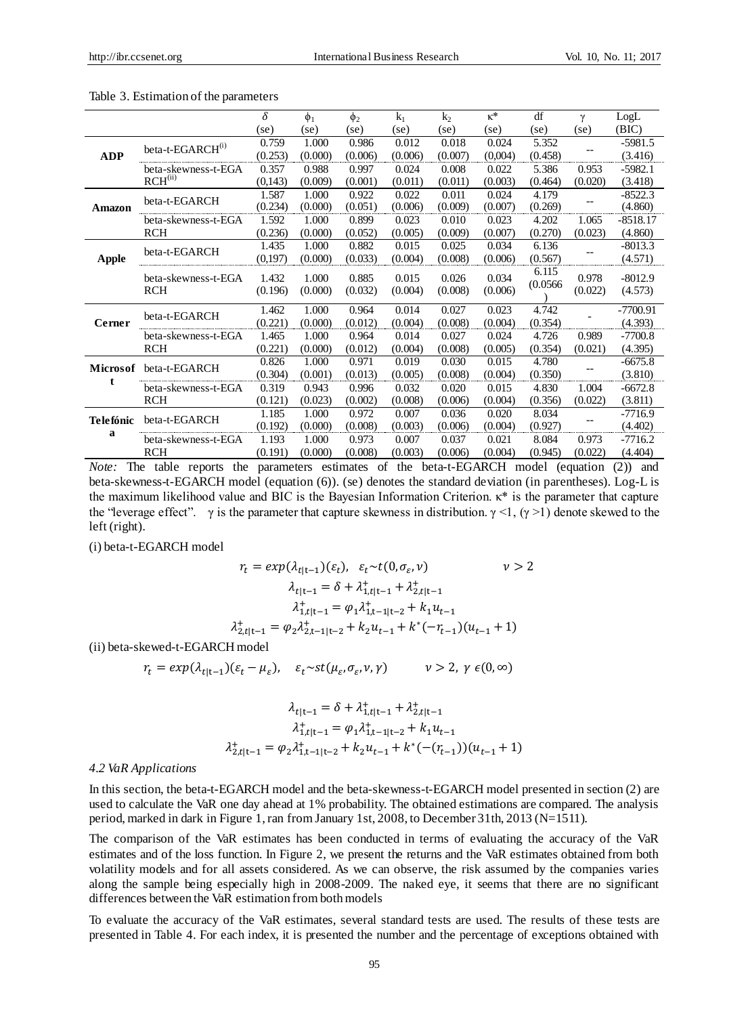|                 |                              | δ       | $\phi_1$ | $\phi_2$ | $k_1$   | k <sub>2</sub> | $\kappa^*$ | df       | γ       | LogL       |
|-----------------|------------------------------|---------|----------|----------|---------|----------------|------------|----------|---------|------------|
|                 |                              | (se)    | (se)     | (se)     | (se)    | (se)           | (se)       | (se)     | (se)    | (BIC)      |
|                 |                              | 0.759   | 1.000    | 0.986    | 0.012   | 0.018          | 0.024      | 5.352    |         | -5981.5    |
| <b>ADP</b>      | beta-t-EGARCH <sup>(i)</sup> | (0.253) | (0.000)  | (0.006)  | (0.006) | (0.007)        | (0.004)    | (0.458)  |         | (3.416)    |
|                 | beta-skewness-t-EGA          | 0.357   | 0.988    | 0.997    | 0.024   | 0.008          | 0.022      | 5.386    | 0.953   | $-5982.1$  |
|                 | RCH <sup>(ii)</sup>          | (0,143) | (0.009)  | (0.001)  | (0.011) | (0.011)        | (0.003)    | (0.464)  | (0.020) | (3.418)    |
|                 | beta-t-EGARCH                | 1.587   | 1.000    | 0.922    | 0.022   | 0.011          | 0.024      | 4.179    |         | $-8522.3$  |
| Amazon          |                              | (0.234) | (0.000)  | (0.051)  | (0.006) | (0.009)        | (0.007)    | (0.269)  |         | (4.860)    |
|                 | beta-skewness-t-EGA          | 1.592   | 1.000    | 0.899    | 0.023   | 0.010          | 0.023      | 4.202    | 1.065   | $-8518.17$ |
|                 | <b>RCH</b>                   | (0.236) | (0.000)  | (0.052)  | (0.005) | (0.009)        | (0.007)    | (0.270)  | (0.023) | (4.860)    |
| <b>Apple</b>    | beta-t-EGARCH                | 1.435   | 1.000    | 0.882    | 0.015   | 0.025          | 0.034      | 6.136    |         | $-8013.3$  |
|                 |                              | (0,197) | (0.000)  | (0.033)  | (0.004) | (0.008)        | (0.006)    | (0.567)  |         | (4.571)    |
|                 | beta-skewness-t-EGA          | 1.432   | 1.000    | 0.885    | 0.015   | 0.026          | 0.034      | 6.115    | 0.978   | $-8012.9$  |
|                 | <b>RCH</b>                   | (0.196) | (0.000)  | (0.032)  | (0.004) | (0.008)        | (0.006)    | (0.0566) | (0.022) | (4.573)    |
|                 |                              |         |          |          |         |                |            |          |         |            |
|                 | beta-t-EGARCH                | 1.462   | 1.000    | 0.964    | 0.014   | 0.027          | 0.023      | 4.742    |         | $-7700.91$ |
| Cerner          |                              | (0.221) | (0.000)  | (0.012)  | (0.004) | (0.008)        | (0.004)    | (0.354)  |         | (4.393)    |
|                 | beta-skewness-t-EGA          | 1.465   | 1.000    | 0.964    | 0.014   | 0.027          | 0.024      | 4.726    | 0.989   | $-7700.8$  |
|                 | <b>RCH</b>                   | (0.221) | (0.000)  | (0.012)  | (0.004) | (0.008)        | (0.005)    | (0.354)  | (0.021) | (4.395)    |
| <b>Microsof</b> | beta-t-EGARCH                | 0.826   | 1.000    | 0.971    | 0.019   | 0.030          | 0.015      | 4.780    |         | $-6675.8$  |
|                 |                              | (0.304) | (0.001)  | (0.013)  | (0.005) | (0.008)        | (0.004)    | (0.350)  |         | (3.810)    |
|                 | beta-skewness-t-EGA          | 0.319   | 0.943    | 0.996    | 0.032   | 0.020          | 0.015      | 4.830    | 1.004   | $-6672.8$  |
|                 | <b>RCH</b>                   | (0.121) | (0.023)  | (0.002)  | (0.008) | (0.006)        | (0.004)    | (0.356)  | (0.022) | (3.811)    |
| Telefónic       | beta-t-EGARCH                | 1.185   | 1.000    | 0.972    | 0.007   | 0.036          | 0.020      | 8.034    |         | -7716.9    |
|                 |                              | (0.192) | (0.000)  | (0.008)  | (0.003) | (0.006)        | (0.004)    | (0.927)  |         | (4.402)    |
| a               | beta-skewness-t-EGA          | 1.193   | 1.000    | 0.973    | 0.007   | 0.037          | 0.021      | 8.084    | 0.973   | $-7716.2$  |
|                 | <b>RCH</b>                   | (0.191) | (0.000)  | (0.008)  | (0.003) | (0.006)        | (0.004)    | (0.945)  | (0.022) | (4.404)    |

Table 3. Estimation of the parameters

*Note:* The table reports the parameters estimates of the beta-t-EGARCH model (equation (2)) and beta-skewness-t-EGARCH model (equation (6)). (se) denotes the standard deviation (in parentheses). Log-L is the maximum likelihood value and BIC is the Bayesian Information Criterion. κ\* is the parameter that capture the "leverage effect". γ is the parameter that capture skewness in distribution.  $\gamma$  <1, (γ >1) denote skewed to the left (right).

(i) beta-t-EGARCH model

$$
r_{t} = exp(\lambda_{t|t-1})(\varepsilon_{t}), \quad \varepsilon_{t} \sim t(0, \sigma_{\varepsilon}, \nu) \qquad \qquad \nu > 2
$$

$$
\lambda_{t|t-1} = \delta + \lambda_{1,t|t-1}^{+} + \lambda_{2,t|t-1}^{+}
$$

$$
\lambda_{1,t|t-1}^{+} = \varphi_{1} \lambda_{1,t-1|t-2}^{+} + k_{1} u_{t-1}
$$

$$
\lambda_{2,t|t-1}^{+} = \varphi_{2} \lambda_{2,t-1|t-2}^{+} + k_{2} u_{t-1} + k^{*}(-r_{t-1})(u_{t-1} + 1)
$$

(ii) beta-skewed-t-EGARCH model

$$
r_t = \exp(\lambda_{t|t-1})(\varepsilon_t - \mu_{\varepsilon}), \quad \varepsilon_t \sim st(\mu_{\varepsilon}, \sigma_{\varepsilon}, \nu, \gamma) \qquad \nu > 2, \ \gamma \in (0, \infty)
$$

$$
\lambda_{t|t-1} = \delta + \lambda_{1,t|t-1}^{+} + \lambda_{2,t|t-1}^{+}
$$

$$
\lambda_{1,t|t-1}^{+} = \varphi_{1}\lambda_{1,t-1|t-2}^{+} + k_{1}u_{t-1}
$$

$$
\lambda_{2,t|t-1}^{+} = \varphi_{2}\lambda_{1,t-1|t-2}^{+} + k_{2}u_{t-1} + k^{*}(-(r_{t-1}))(u_{t-1} + 1)
$$

#### *4.2 VaR Applications*

In this section, the beta-t-EGARCH model and the beta-skewness-t-EGARCH model presented in section (2) are used to calculate the VaR one day ahead at 1% probability. The obtained estimations are compared. The analysis period, marked in dark in Figure 1, ran from January 1st, 2008, to December 31th, 2013 (N=1511).

The comparison of the VaR estimates has been conducted in terms of evaluating the accuracy of the VaR estimates and of the loss function. In Figure 2, we present the returns and the VaR estimates obtained from both volatility models and for all assets considered. As we can observe, the risk assumed by the companies varies along the sample being especially high in 2008-2009. The naked eye, it seems that there are no significant differences between the VaR estimation from both models

To evaluate the accuracy of the VaR estimates, several standard tests are used. The results of these tests are presented in Table 4. For each index, it is presented the number and the percentage of exceptions obtained with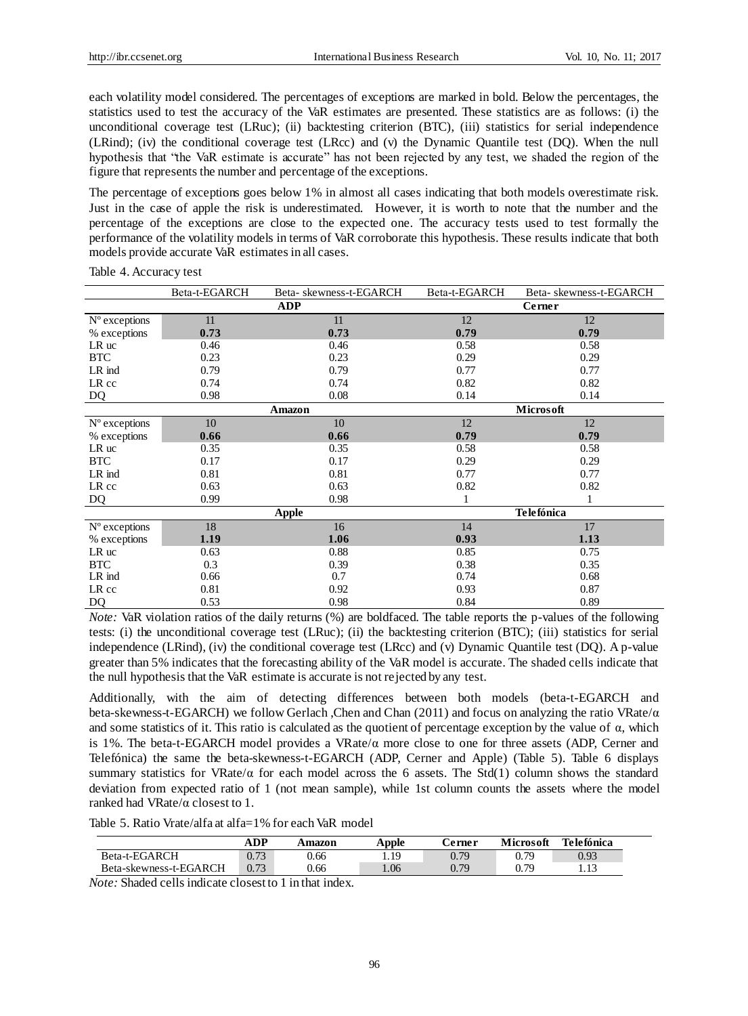each volatility model considered. The percentages of exceptions are marked in bold. Below the percentages, the statistics used to test the accuracy of the VaR estimates are presented. These statistics are as follows: (i) the unconditional coverage test (LRuc); (ii) backtesting criterion (BTC), (iii) statistics for serial independence (LRind); (iv) the conditional coverage test (LRcc) and (v) the Dynamic Quantile test (DQ). When the null hypothesis that "the VaR estimate is accurate" has not been rejected by any test, we shaded the region of the figure that represents the number and percentage of the exceptions.

The percentage of exceptions goes below 1% in almost all cases indicating that both models overestimate risk. Just in the case of apple the risk is underestimated. However, it is worth to note that the number and the percentage of the exceptions are close to the expected one. The accuracy tests used to test formally the performance of the volatility models in terms of VaR corroborate this hypothesis. These results indicate that both models provide accurate VaR estimates in all cases.

|                | Beta-t-EGARCH | Beta-skewness-t-EGARCH | Beta-t-EGARCH | Beta-skewness-t-EGARCH |
|----------------|---------------|------------------------|---------------|------------------------|
|                |               | <b>ADP</b>             |               | Cerner                 |
| N °exceptions  | 11            | 11                     | 12            | 12                     |
| % exceptions   | 0.73          | 0.73                   | 0.79          | 0.79                   |
| LR uc          | 0.46          | 0.46                   | 0.58          | 0.58                   |
| <b>BTC</b>     | 0.23          | 0.23                   | 0.29          | 0.29                   |
| LR ind         | 0.79          | 0.79                   | 0.77          | 0.77                   |
| LR cc          | 0.74          | 0.74                   | 0.82          | 0.82                   |
| DQ             | 0.98          | 0.08                   | 0.14          | 0.14                   |
|                |               | Amazon                 |               | Microsoft              |
| N °exceptions  | 10            | 10                     | 12            | 12                     |
| % exceptions   | 0.66          | 0.66                   | 0.79          | 0.79                   |
| LR uc          | 0.35          | 0.35                   | 0.58          | 0.58                   |
| <b>BTC</b>     | 0.17          | 0.17                   | 0.29          | 0.29                   |
| LR ind         | 0.81          | 0.81                   | 0.77          | 0.77                   |
| LR cc          | 0.63          | 0.63                   | 0.82          | 0.82                   |
| DQ             | 0.99          | 0.98                   |               |                        |
|                |               | Apple                  |               | <b>Telefónica</b>      |
| N ° exceptions | 18            | 16                     | 14            | 17                     |
| % exceptions   | 1.19          | 1.06                   | 0.93          | 1.13                   |
| LR uc          | 0.63          | 0.88                   | 0.85          | 0.75                   |
| <b>BTC</b>     | 0.3           | 0.39                   | 0.38          | 0.35                   |
| LR ind         | 0.66          | 0.7                    | 0.74          | 0.68                   |
| LR cc          | 0.81          | 0.92                   | 0.93          | 0.87                   |
| <b>DQ</b>      | 0.53          | 0.98                   | 0.84          | 0.89                   |

Table 4. Accuracy test

*Note:* VaR violation ratios of the daily returns (%) are boldfaced. The table reports the p-values of the following tests: (i) the unconditional coverage test (LRuc); (ii) the backtesting criterion (BTC); (iii) statistics for serial independence (LRind), (iv) the conditional coverage test (LRcc) and (v) Dynamic Quantile test (DQ). A p-value greater than 5% indicates that the forecasting ability of the VaR model is accurate. The shaded cells indicate that the null hypothesis that the VaR estimate is accurate is not rejected by any test.

Additionally, with the aim of detecting differences between both models (beta-t-EGARCH and beta-skewness-t-EGARCH) we follow Gerlach ,Chen and Chan (2011) and focus on analyzing the ratio VRate/α and some statistics of it. This ratio is calculated as the quotient of percentage exception by the value of  $\alpha$ , which is 1%. The beta-t-EGARCH model provides a VRate/α more close to one for three assets (ADP, Cerner and Telefónica) the same the beta-skewness-t-EGARCH (ADP, Cerner and Apple) (Table 5). Table 6 displays summary statistics for VRate/ $\alpha$  for each model across the 6 assets. The Std(1) column shows the standard deviation from expected ratio of 1 (not mean sample), while 1st column counts the assets where the model ranked had VRate/α closest to 1.

Table 5. Ratio Vrate/alfa at alfa=1% for each VaR model

|                        | ADP  | Amazon | Apple | <b>Cerner</b> | <b>Microsoft</b> | Telefónica |
|------------------------|------|--------|-------|---------------|------------------|------------|
| Beta-t-EGARCH          | 0.73 | 0.66   | 19    | 0.79          | 0.79             | 0.93       |
| Beta-skewness-t-EGARCH | 0.73 | 0.66   | .06   | 0.79          | 0.79             | 1.13       |

*Note:* Shaded cells indicate closest to 1 in that index.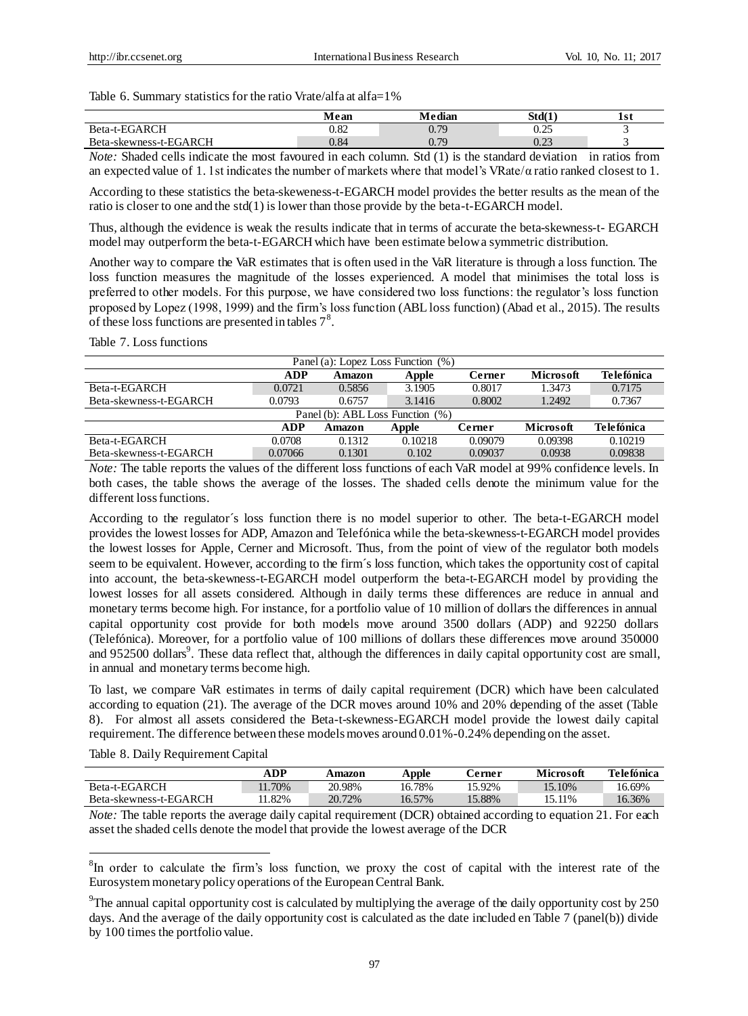Table 6. Summary statistics for the ratio Vrate/alfa at alfa=1%

|                        | Mean | Median       | Std(1) | lst |
|------------------------|------|--------------|--------|-----|
| Beta-t-EGARCH          | 0.82 | 0.79         | 0.25   |     |
| Beta-skewness-t-EGARCH | 0.84 | በ 70<br>v. 1 | 0.23   |     |

*Note:* Shaded cells indicate the most favoured in each column. Std (1) is the standard deviation in ratios from an expected value of 1. 1st indicates the number of markets where that model's VRate/α ratio ranked closest to 1.

According to these statistics the beta-skeweness-t-EGARCH model provides the better results as the mean of the ratio is closer to one and the std(1) is lower than those provide by the beta-t-EGARCH model.

Thus, although the evidence is weak the results indicate that in terms of accurate the beta-skewness-t- EGARCH model may outperform the beta-t-EGARCH which have been estimate below a symmetric distribution.

Another way to compare the VaR estimates that is often used in the VaR literature is through a loss function. The loss function measures the magnitude of the losses experienced. A model that minimises the total loss is preferred to other models. For this purpose, we have considered two loss functions: the regulator's loss function proposed by Lopez (1998, 1999) and the firm's loss function (ABL loss function) (Abad et al., 2015). The results of these loss functions are presented in tables  $7<sup>8</sup>$ .

Table 7. Loss functions

| Telefónica                                                         |  |  |  |  |  |  |  |  |  |  |
|--------------------------------------------------------------------|--|--|--|--|--|--|--|--|--|--|
| 0.7175                                                             |  |  |  |  |  |  |  |  |  |  |
| 0.7367                                                             |  |  |  |  |  |  |  |  |  |  |
| Panel (b): ABL Loss Function (%)                                   |  |  |  |  |  |  |  |  |  |  |
| <b>Telefónica</b><br>ADP<br>Microsoft<br>Cerner<br>Apple<br>Amazon |  |  |  |  |  |  |  |  |  |  |
| 0.10219                                                            |  |  |  |  |  |  |  |  |  |  |
| 0.09838                                                            |  |  |  |  |  |  |  |  |  |  |
|                                                                    |  |  |  |  |  |  |  |  |  |  |

*Note:* The table reports the values of the different loss functions of each VaR model at 99% confidence levels. In both cases, the table shows the average of the losses. The shaded cells denote the minimum value for the different loss functions.

According to the regulator  $\acute{\text{s}}$  loss function there is no model superior to other. The beta-t-EGARCH model provides the lowest losses for ADP, Amazon and Telefónica while the beta-skewness-t-EGARCH model provides the lowest losses for Apple, Cerner and Microsoft. Thus, from the point of view of the regulator both models seem to be equivalent. However, according to the firm  $\hat{s}$  loss function, which takes the opportunity cost of capital into account, the beta-skewness-t-EGARCH model outperform the beta-t-EGARCH model by providing the lowest losses for all assets considered. Although in daily terms these differences are reduce in annual and monetary terms become high. For instance, for a portfolio value of 10 million of dollars the differences in annual capital opportunity cost provide for both models move around 3500 dollars (ADP) and 92250 dollars (Telefónica). Moreover, for a portfolio value of 100 millions of dollars these differences move around 350000 and 952500 dollars<sup>9</sup>. These data reflect that, although the differences in daily capital opportunity cost are small, in annual and monetary terms become high.

To last, we compare VaR estimates in terms of daily capital requirement (DCR) which have been calculated according to equation (21). The average of the DCR moves around 10% and 20% depending of the asset (Table 8). For almost all assets considered the Beta-t-skewness-EGARCH model provide the lowest daily capital requirement. The difference between these models moves around 0.01%-0.24% depending on the asset.

|                        | ADP   | Amazon | Apple  | terner:   | Microsoft | Telefónica |
|------------------------|-------|--------|--------|-----------|-----------|------------|
| Beta-t-EGARCH          | 1.70% | 20.98% | 16.78% | $15.92\%$ | 15.10%    | 16.69%     |
| Beta-skewness-t-EGARCH | 1.82% | 20.72% | 16.57% | $15.88\%$ | 15.11%    | 16.36%     |

Table 8. Daily Requirement Capital

1

*Note:* The table reports the average daily capital requirement (DCR) obtained according to equation 21. For each asset the shaded cells denote the model that provide the lowest average of the DCR

<sup>&</sup>lt;sup>8</sup>In order to calculate the firm's loss function, we proxy the cost of capital with the interest rate of the Eurosystem monetary policy operations of the European Central Bank.

<sup>&</sup>lt;sup>9</sup>The annual capital opportunity cost is calculated by multiplying the average of the daily opportunity cost by 250 days. And the average of the daily opportunity cost is calculated as the date included en Table 7 (panel(b)) divide by 100 times the portfolio value.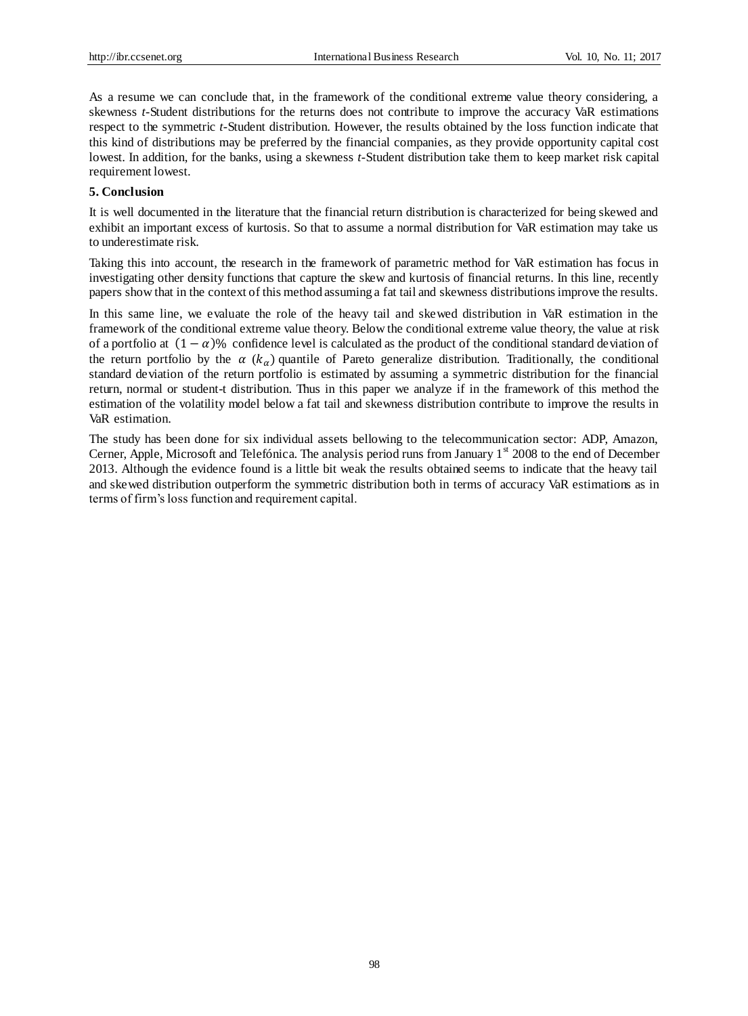As a resume we can conclude that, in the framework of the conditional extreme value theory considering, a skewness *t*-Student distributions for the returns does not contribute to improve the accuracy VaR estimations respect to the symmetric *t*-Student distribution. However, the results obtained by the loss function indicate that this kind of distributions may be preferred by the financial companies, as they provide opportunity capital cost lowest. In addition, for the banks, using a skewness *t*-Student distribution take them to keep market risk capital requirement lowest.

### **5. Conclusion**

It is well documented in the literature that the financial return distribution is characterized for being skewed and exhibit an important excess of kurtosis. So that to assume a normal distribution for VaR estimation may take us to underestimate risk.

Taking this into account, the research in the framework of parametric method for VaR estimation has focus in investigating other density functions that capture the skew and kurtosis of financial returns. In this line, recently papers show that in the context of this method assuming a fat tail and skewness distributions improve the results.

In this same line, we evaluate the role of the heavy tail and skewed distribution in VaR estimation in the framework of the conditional extreme value theory. Below the conditional extreme value theory, the value at risk of a portfolio at  $(1 - \alpha)$ % confidence level is calculated as the product of the conditional standard deviation of the return portfolio by the  $\alpha$  ( $k_{\alpha}$ ) quantile of Pareto generalize distribution. Traditionally, the conditional standard deviation of the return portfolio is estimated by assuming a symmetric distribution for the financial return, normal or student-t distribution. Thus in this paper we analyze if in the framework of this method the estimation of the volatility model below a fat tail and skewness distribution contribute to improve the results in VaR estimation.

The study has been done for six individual assets bellowing to the telecommunication sector: ADP, Amazon, Cerner, Apple, Microsoft and Telefónica. The analysis period runs from January  $1<sup>st</sup>$  2008 to the end of December 2013. Although the evidence found is a little bit weak the results obtained seems to indicate that the heavy tail and skewed distribution outperform the symmetric distribution both in terms of accuracy VaR estimations as in terms of firm's loss function and requirement capital.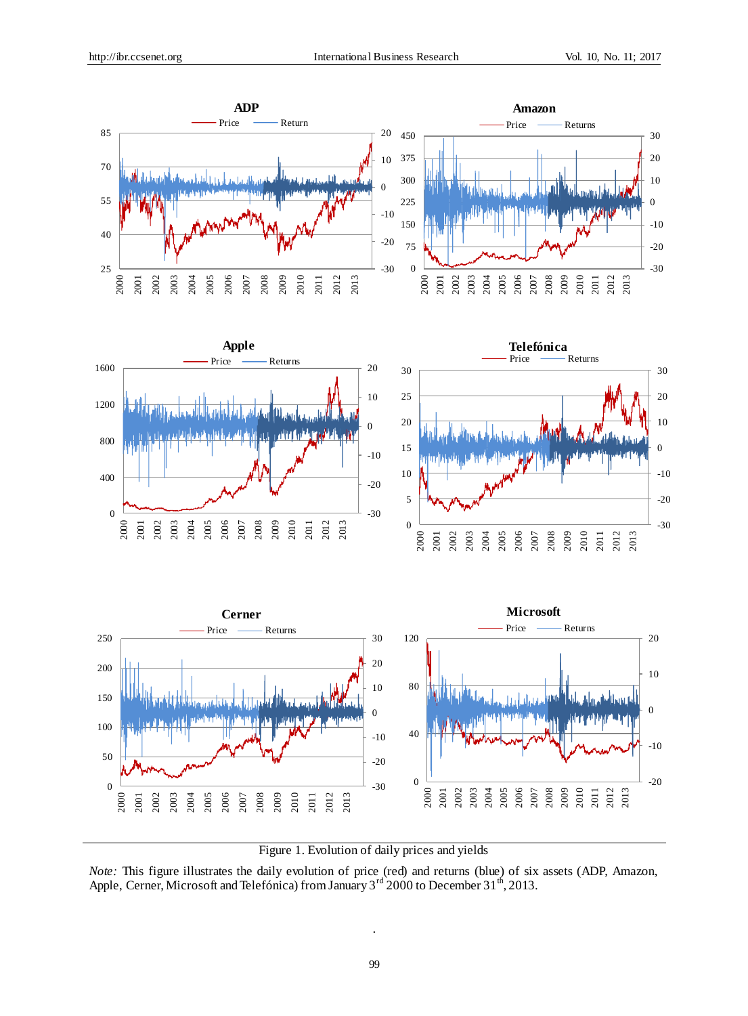

Figure 1. Evolution of daily prices and yields

*Note:* This figure illustrates the daily evolution of price (red) and returns (blue) of six assets (ADP, Amazon, Apple, Cerner, Microsoft and Telef ónica) from January  $3^{rd}$  2000 to December  $31^{th}$ , 2013.

.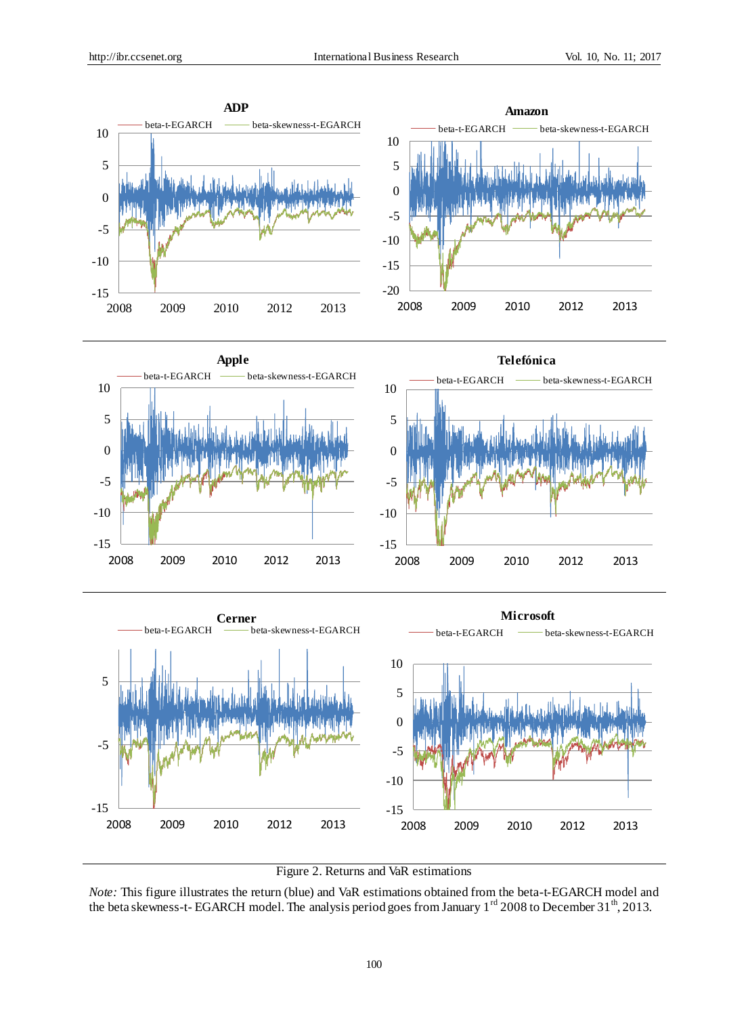



*Note:* This figure illustrates the return (blue) and VaR estimations obtained from the beta-t-EGARCH model and the beta skewness-t- EGARCH model. The analysis period goes from January 1<sup>rd</sup> 2008 to December 31<sup>th</sup>, 2013.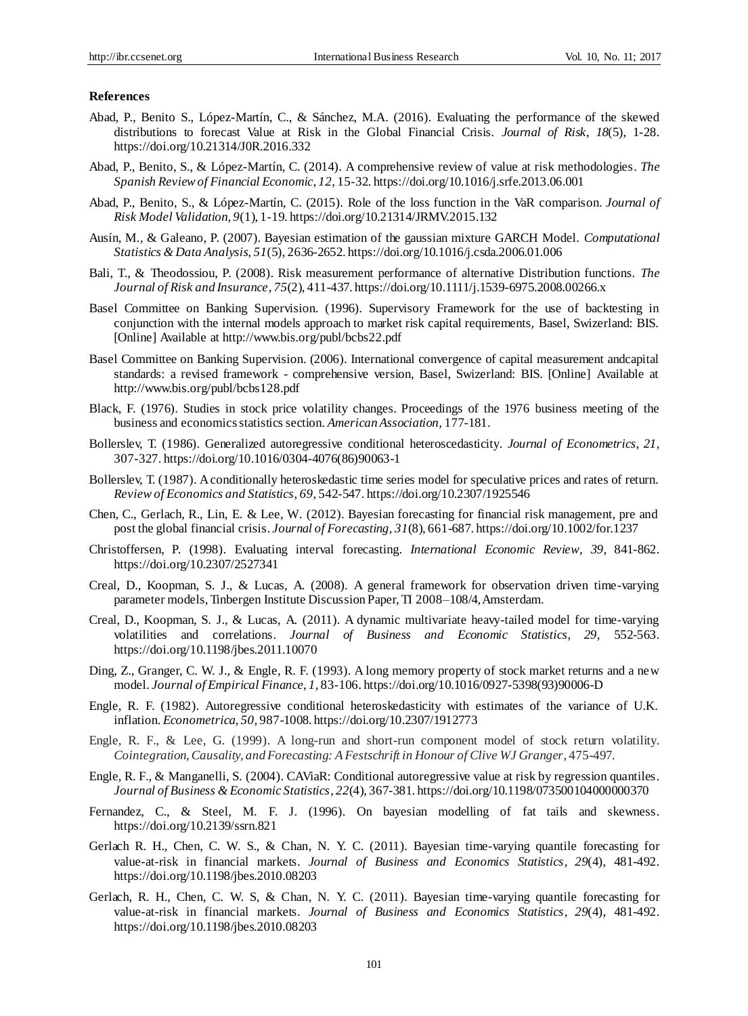### **References**

- Abad, P., Benito S., López-Mart ín, C., & Sánchez, M.A. (2016). Evaluating the performance of the skewed distributions to forecast Value at Risk in the Global Financial Crisis. *Journal of Risk*, *18*(5), 1-28. https://doi.org/10.21314/J0R.2016.332
- Abad, P., Benito, S., & López-Mart *fi, C.* (2014). A comprehensive review of value at risk methodologies. *The Spanish Review of Financial Economic*, *12,* 15-32. https://doi.org/10.1016/j.srfe.2013.06.001
- Abad, P., Benito, S., & López-Martín, C. (2015). Role of the loss function in the VaR comparison. *Journal of Risk Model Validation*, *9*(1), 1-19. https://doi.org/10.21314/JRMV.2015.132
- Ausín, M., & Galeano, P. (2007). Bayesian estimation of the gaussian mixture GARCH Model. *Computational Statistics & Data Analysis*, *51*(5), 2636-2652. https://doi.org/10.1016/j.csda.2006.01.006
- Bali, T., & Theodossiou, P. (2008). Risk measurement performance of alternative Distribution functions. *The Journal of Risk and Insurance*, *75*(2), 411-437. https://doi.org/10.1111/j.1539-6975.2008.00266.x
- Basel Committee on Banking Supervision. (1996). Supervisory Framework for the use of backtesting in conjunction with the internal models approach to market risk capital requirements, Basel, Swizerland: BIS. [Online] Available at http://www.bis.org/publ/bcbs22.pdf
- Basel Committee on Banking Supervision. (2006). International convergence of capital measurement andcapital standards: a revised framework - comprehensive version, Basel, Swizerland: BIS. [Online] Available at http://www.bis.org/publ/bcbs128.pdf
- Black, F. (1976). Studies in stock price volatility changes. Proceedings of the 1976 business meeting of the business and economics statistics section. *American Association,* 177-181.
- Bollerslev, T. (1986). Generalized autoregressive conditional heteroscedasticity. *Journal of Econometrics*, *21,*  307-327. https://doi.org/10.1016/0304-4076(86)90063-1
- Bollerslev, T. (1987). A conditionally heteroskedastic time series model for speculative prices and rates of return. *Review of Economics and Statistics*, *69,* 542-547. https://doi.org/10.2307/1925546
- Chen, C., Gerlach, R., Lin, E. & Lee, W. (2012). Bayesian forecasting for financial risk management, pre and post the global financial crisis. *Journal of Forecasting, 31*(8), 661-687. https://doi.org/10.1002/for.1237
- Christoffersen, P. (1998). Evaluating interval forecasting. *International Economic Review*, *39,* 841-862. https://doi.org/10.2307/2527341
- Creal, D., Koopman, S. J., & Lucas, A. (2008). A general framework for observation driven time-varying parameter models, Tinbergen Institute Discussion Paper, TI 2008–108/4, Amsterdam.
- Creal, D., Koopman, S. J., & Lucas, A. (2011). A dynamic multivariate heavy-tailed model for time-varying volatilities and correlations. *Journal of Business and Economic Statistics, 29,* 552-563. https://doi.org/10.1198/jbes.2011.10070
- Ding, Z., Granger, C. W. J., & Engle, R. F. (1993). A long memory property of stock market returns and a new model. *Journal of Empirical Finance*, *1,* 83-106. https://doi.org/10.1016/0927-5398(93)90006-D
- Engle, R. F. (1982). Autoregressive conditional heteroskedasticity with estimates of the variance of U.K. inflation. *Econometrica*, *50,* 987-1008. https://doi.org/10.2307/1912773
- Engle, R. F., & Lee, G. (1999). A long-run and short-run component model of stock return volatility. *Cointegration, Causality, and Forecasting: A Festschrift in Honour of Clive WJ Granger*, 475-497.
- Engle, R. F., & Manganelli, S. (2004). CAViaR: Conditional autoregressive value at risk by regression quantiles. *Journal of Business & Economic Statistics*, *22*(4), 367-381. https://doi.org/10.1198/073500104000000370
- Fernandez, C., & Steel, M. F. J. (1996). On bayesian modelling of fat tails and skewness. https://doi.org/10.2139/ssrn.821
- Gerlach R. H., Chen, C. W. S., & Chan, N. Y. C. (2011). Bayesian time-varying quantile forecasting for value-at-risk in financial markets. *Journal of Business and Economics Statistics*, *29*(4), 481-492. https://doi.org/10.1198/jbes.2010.08203
- Gerlach, R. H., Chen, C. W. S, & Chan, N. Y. C. (2011). Bayesian time-varying quantile forecasting for value-at-risk in financial markets. *Journal of Business and Economics Statistics*, *29*(4), 481-492. https://doi.org/10.1198/jbes.2010.08203